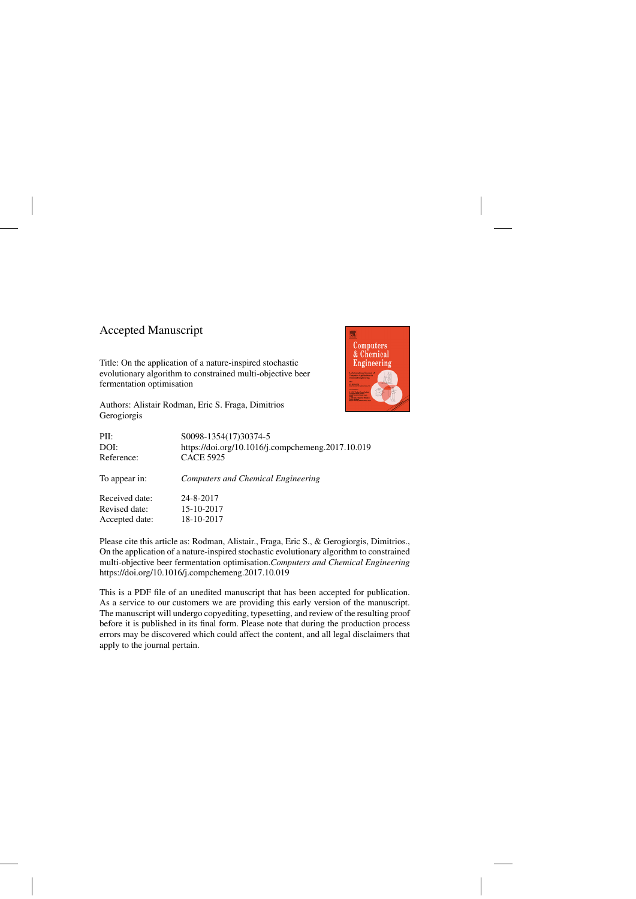## Accepted Manuscript

Title: On the application of a nature-inspired stochastic evolutionary algorithm to constrained multi-objective beer fermentation optimisation



Authors: Alistair Rodman, Eric S. Fraga, Dimitrios Gerogiorgis

| S0098-1354(17)30374-5                             |
|---------------------------------------------------|
| https://doi.org/10.1016/j.compchemeng.2017.10.019 |
| <b>CACE 5925</b>                                  |
| <b>Computers and Chemical Engineering</b>         |
| 24-8-2017                                         |
| 15-10-2017                                        |
| 18-10-2017                                        |
|                                                   |

Please cite this article as: Rodman, Alistair., Fraga, Eric S., & Gerogiorgis, Dimitrios., On the application of a nature-inspired stochastic evolutionary algorithm to constrained multi-objective beer fermentation optimisation.*Computers and Chemical Engineering* <https://doi.org/10.1016/j.compchemeng.2017.10.019>

This is a PDF file of an unedited manuscript that has been accepted for publication. As a service to our customers we are providing this early version of the manuscript. The manuscript will undergo copyediting, typesetting, and review of the resulting proof before it is published in its final form. Please note that during the production process errors may be discovered which could affect the content, and all legal disclaimers that apply to the journal pertain.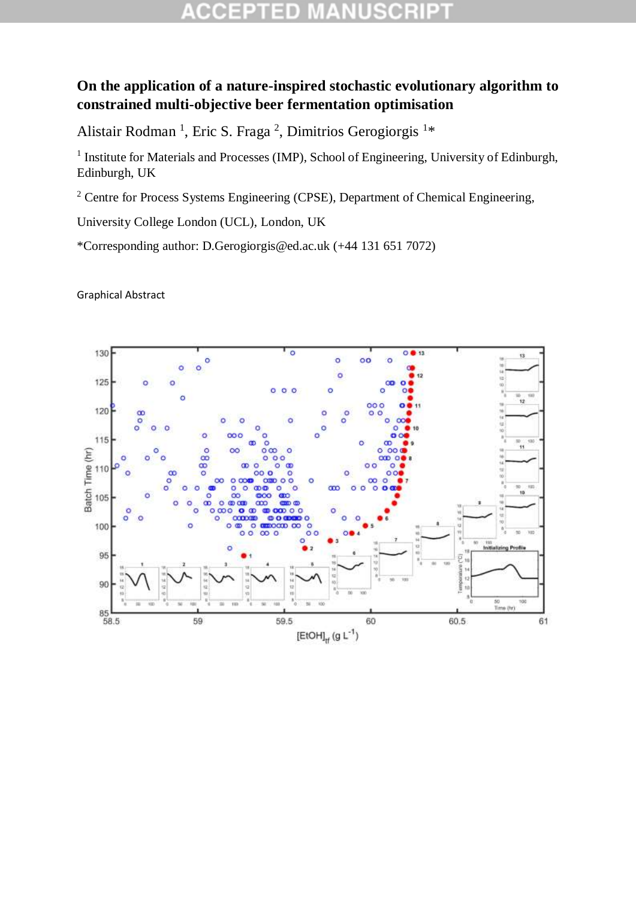## 5I D COEPTI

## **On the application of a nature-inspired stochastic evolutionary algorithm to constrained multi-objective beer fermentation optimisation**

Alistair Rodman<sup>1</sup>, Eric S. Fraga<sup>2</sup>, Dimitrios Gerogiorgis<sup>1\*</sup>

<sup>1</sup> Institute for Materials and Processes (IMP), School of Engineering, University of Edinburgh, Edinburgh, UK

<sup>2</sup> Centre for Process Systems Engineering (CPSE), Department of Chemical Engineering,

University College London (UCL), London, UK

\*Corresponding author: D.Gerogiorgis@ed.ac.uk (+44 131 651 7072)

Graphical Abstract